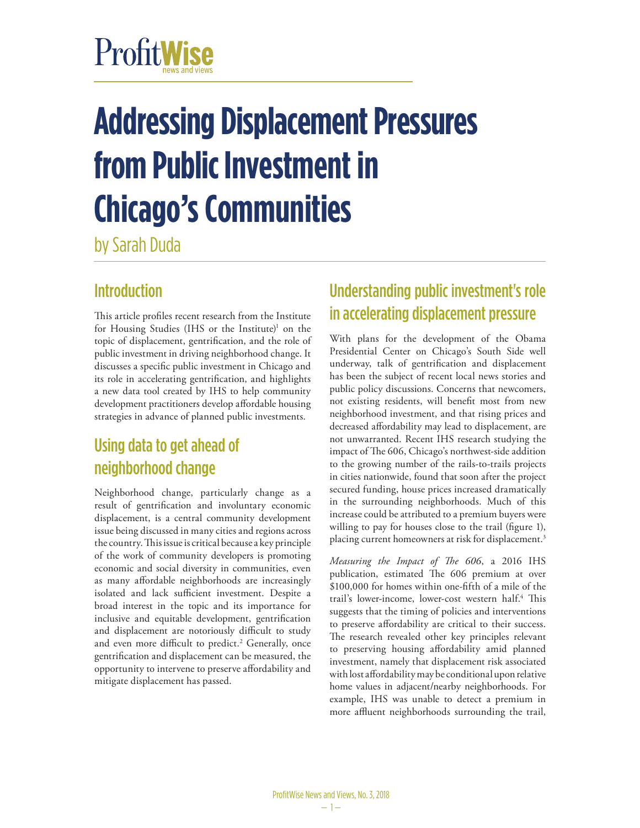# ProfitWise

# **Addressing Displacement Pressures from Public Investment in Chicago's Communities**

by Sarah Duda

### **Introduction**

This article profiles recent research from the Institute for Housing Studies (IHS or the Institute)<sup>1</sup> on the topic of displacement, gentrification, and the role of public investment in driving neighborhood change. It discusses a specific public investment in Chicago and its role in accelerating gentrification, and highlights a new data tool created by IHS to help community development practitioners develop affordable housing strategies in advance of planned public investments.

# Using data to get ahead of neighborhood change

Neighborhood change, particularly change as a result of gentrification and involuntary economic displacement, is a central community development issue being discussed in many cities and regions across the country. This issue is critical because a key principle of the work of community developers is promoting economic and social diversity in communities, even as many affordable neighborhoods are increasingly isolated and lack sufficient investment. Despite a broad interest in the topic and its importance for inclusive and equitable development, gentrification and displacement are notoriously difficult to study and even more difficult to predict.<sup>2</sup> Generally, once gentrification and displacement can be measured, the opportunity to intervene to preserve affordability and mitigate displacement has passed.

# Understanding public investment's role in accelerating displacement pressure

With plans for the development of the Obama Presidential Center on Chicago's South Side well underway, talk of gentrification and displacement has been the subject of recent local news stories and public policy discussions. Concerns that newcomers, not existing residents, will benefit most from new neighborhood investment, and that rising prices and decreased affordability may lead to displacement, are not unwarranted. Recent IHS research studying the impact of The 606, Chicago's northwest-side addition to the growing number of the rails-to-trails projects in cities nationwide, found that soon after the project secured funding, house prices increased dramatically in the surrounding neighborhoods. Much of this increase could be attributed to a premium buyers were willing to pay for houses close to the trail (figure 1), placing current homeowners at risk for displacement.<sup>3</sup>

*Measuring the Impact of The 606*, a 2016 IHS publication, estimated The 606 premium at over \$100,000 for homes within one-fifth of a mile of the trail's lower-income, lower-cost western half.<sup>4</sup> This suggests that the timing of policies and interventions to preserve affordability are critical to their success. The research revealed other key principles relevant to preserving housing affordability amid planned investment, namely that displacement risk associated with lost affordability may be conditional upon relative home values in adjacent/nearby neighborhoods. For example, IHS was unable to detect a premium in more affluent neighborhoods surrounding the trail,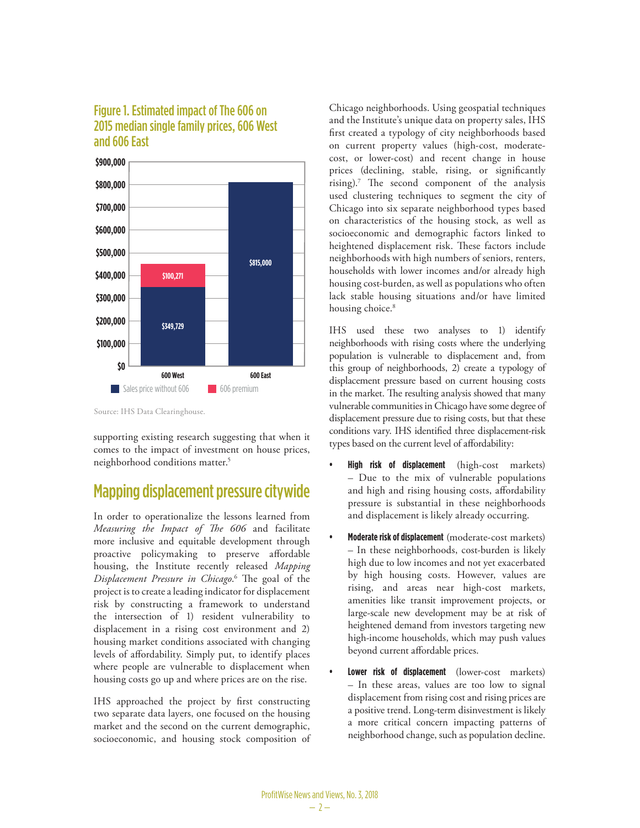#### Figure 1. Estimated impact of The 606 on 2015 median single family prices, 606 West and 606 East



Source: IHS Data Clearinghouse.

supporting existing research suggesting that when it comes to the impact of investment on house prices, neighborhood conditions matter.<sup>5</sup>

#### Mapping displacement pressure citywide

In order to operationalize the lessons learned from *Measuring the Impact of The 606* and facilitate more inclusive and equitable development through proactive policymaking to preserve affordable housing, the Institute recently released *Mapping Displacement Pressure in Chicago*. 6 The goal of the project is to create a leading indicator for displacement risk by constructing a framework to understand the intersection of 1) resident vulnerability to displacement in a rising cost environment and 2) housing market conditions associated with changing levels of affordability. Simply put, to identify places where people are vulnerable to displacement when housing costs go up and where prices are on the rise.

IHS approached the project by first constructing two separate data layers, one focused on the housing market and the second on the current demographic, socioeconomic, and housing stock composition of Chicago neighborhoods. Using geospatial techniques and the Institute's unique data on property sales, IHS first created a typology of city neighborhoods based on current property values (high-cost, moderatecost, or lower-cost) and recent change in house prices (declining, stable, rising, or significantly rising).7 The second component of the analysis used clustering techniques to segment the city of Chicago into six separate neighborhood types based on characteristics of the housing stock, as well as socioeconomic and demographic factors linked to heightened displacement risk. These factors include neighborhoods with high numbers of seniors, renters, households with lower incomes and/or already high housing cost-burden, as well as populations who often lack stable housing situations and/or have limited housing choice.<sup>8</sup>

IHS used these two analyses to 1) identify neighborhoods with rising costs where the underlying population is vulnerable to displacement and, from this group of neighborhoods, 2) create a typology of displacement pressure based on current housing costs in the market. The resulting analysis showed that many vulnerable communities in Chicago have some degree of displacement pressure due to rising costs, but that these conditions vary. IHS identified three displacement-risk types based on the current level of affordability:

- **• High risk of displacement** (high-cost markets) – Due to the mix of vulnerable populations and high and rising housing costs, affordability pressure is substantial in these neighborhoods and displacement is likely already occurring.
- **• Moderate risk of displacement** (moderate-cost markets) – In these neighborhoods, cost-burden is likely high due to low incomes and not yet exacerbated by high housing costs. However, values are rising, and areas near high-cost markets, amenities like transit improvement projects, or large-scale new development may be at risk of heightened demand from investors targeting new high-income households, which may push values beyond current affordable prices.
- **• Lower risk of displacement** (lower-cost markets) – In these areas, values are too low to signal displacement from rising cost and rising prices are a positive trend. Long-term disinvestment is likely a more critical concern impacting patterns of neighborhood change, such as population decline.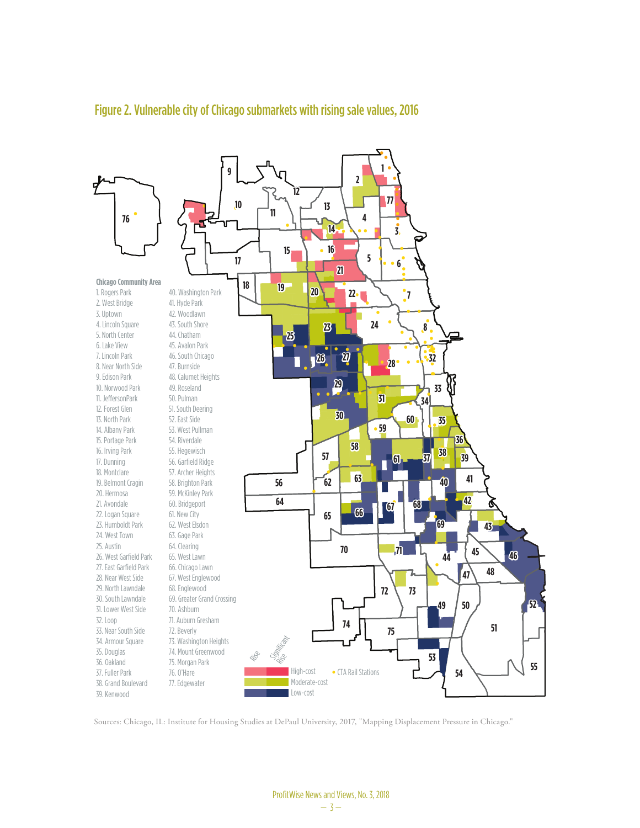

#### Figure 2. Vulnerable city of Chicago submarkets with rising sale values, 2016

Sources: Chicago, IL: Institute for Housing Studies at DePaul University, 2017, "Mapping Displacement Pressure in Chicago."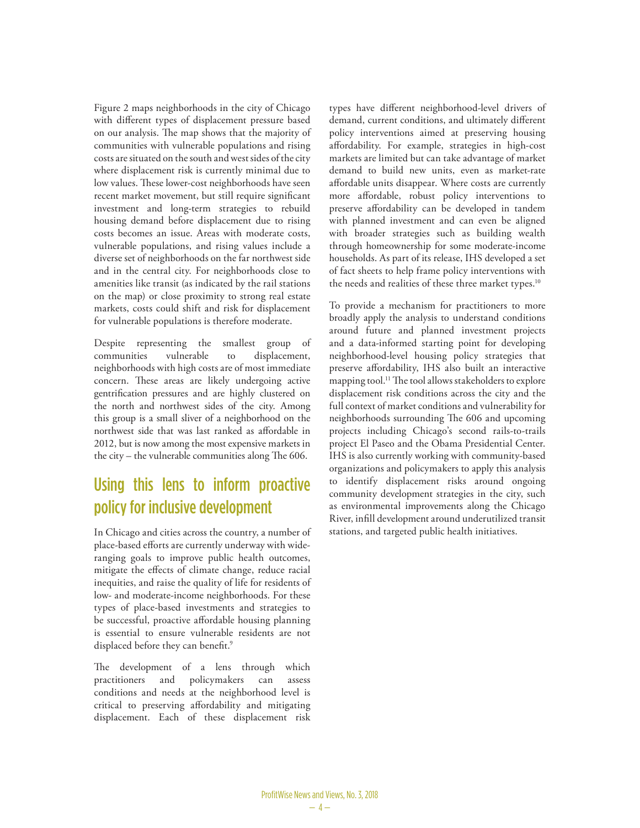Figure 2 maps neighborhoods in the city of Chicago with different types of displacement pressure based on our analysis. The map shows that the majority of communities with vulnerable populations and rising costs are situated on the south and west sides of the city where displacement risk is currently minimal due to low values. These lower-cost neighborhoods have seen recent market movement, but still require significant investment and long-term strategies to rebuild housing demand before displacement due to rising costs becomes an issue. Areas with moderate costs, vulnerable populations, and rising values include a diverse set of neighborhoods on the far northwest side and in the central city. For neighborhoods close to amenities like transit (as indicated by the rail stations on the map) or close proximity to strong real estate markets, costs could shift and risk for displacement for vulnerable populations is therefore moderate.

Despite representing the smallest group of communities vulnerable to displacement, neighborhoods with high costs are of most immediate concern. These areas are likely undergoing active gentrification pressures and are highly clustered on the north and northwest sides of the city. Among this group is a small sliver of a neighborhood on the northwest side that was last ranked as affordable in 2012, but is now among the most expensive markets in the city – the vulnerable communities along The 606.

## Using this lens to inform proactive policy for inclusive development

In Chicago and cities across the country, a number of place-based efforts are currently underway with wideranging goals to improve public health outcomes, mitigate the effects of climate change, reduce racial inequities, and raise the quality of life for residents of low- and moderate-income neighborhoods. For these types of place-based investments and strategies to be successful, proactive affordable housing planning is essential to ensure vulnerable residents are not displaced before they can benefit.<sup>9</sup>

The development of a lens through which practitioners and policymakers can assess conditions and needs at the neighborhood level is critical to preserving affordability and mitigating displacement. Each of these displacement risk

types have different neighborhood-level drivers of demand, current conditions, and ultimately different policy interventions aimed at preserving housing affordability. For example, strategies in high-cost markets are limited but can take advantage of market demand to build new units, even as market-rate affordable units disappear. Where costs are currently more affordable, robust policy interventions to preserve affordability can be developed in tandem with planned investment and can even be aligned with broader strategies such as building wealth through homeownership for some moderate-income households. As part of its release, IHS developed a set of fact sheets to help frame policy interventions with the needs and realities of these three market types.<sup>10</sup>

To provide a mechanism for practitioners to more broadly apply the analysis to understand conditions around future and planned investment projects and a data-informed starting point for developing neighborhood-level housing policy strategies that preserve affordability, IHS also built an interactive mapping tool.<sup>11</sup> The tool allows stakeholders to explore displacement risk conditions across the city and the full context of market conditions and vulnerability for neighborhoods surrounding The 606 and upcoming projects including Chicago's second rails-to-trails project El Paseo and the Obama Presidential Center. IHS is also currently working with community-based organizations and policymakers to apply this analysis to identify displacement risks around ongoing community development strategies in the city, such as environmental improvements along the Chicago River, infill development around underutilized transit stations, and targeted public health initiatives.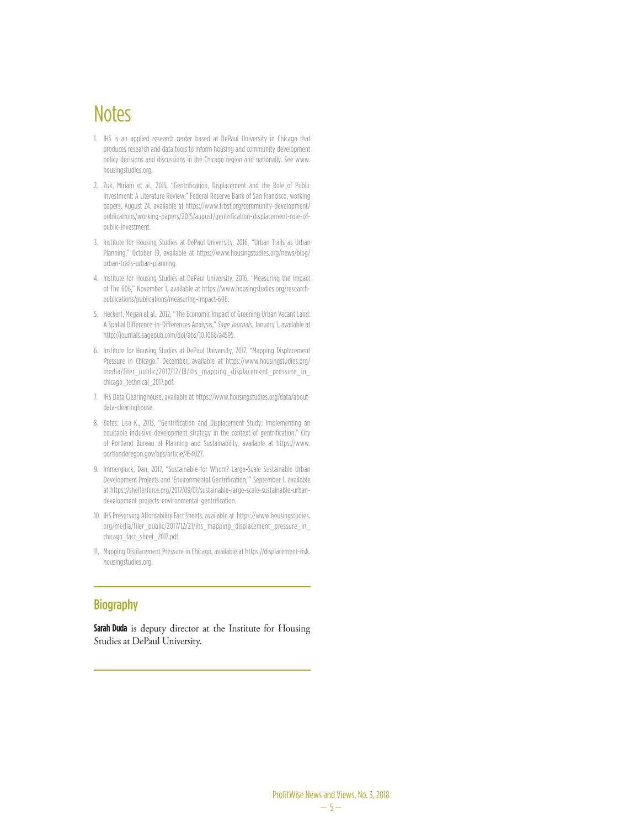# **Notes**

- 1. IHS is an applied research center based at DePaul University in Chicago that produces research and data tools to inform housing and community development policy decisions and discussions in the Chicago region and nationally. See www. housingstudies.org.
- 2. Zuk, Miriam et al., 2015, "Gentrification, Displacement and the Role of Public Investment: A Literature Review," Federal Reserve Bank of San Francisco, working papers, August 24, available at https://www.frbsf.org/community-development/ publications/working-papers/2015/august/gentrification-displacement-role-ofpublic-investment.
- 3. Institute for Housing Studies at DePaul University, 2016, "Urban Trails as Urban Planning," October 19, available at https://www.housingstudies.org/news/blog/ urban-trails-urban-planning.
- 4. Institute for Housing Studies at DePaul University, 2016, "Measuring the Impact of The 606," November 1, available at https://www.housingstudies.org/researchpublications/publications/measuring-impact-606.
- 5. Heckert, Megan et al., 2012, "The Economic Impact of Greening Urban Vacant Land: A Spatial Difference-In-Differences Analysis," *Sage Journals*, January 1, available at http://journals.sagepub.com/doi/abs/10.1068/a4595.
- 6. Institute for Housing Studies at DePaul University, 2017, "Mapping Displacement Pressure in Chicago," December, available at https://www.housingstudies.org/ media/filer\_public/2017/12/18/ihs\_mapping\_displacement\_pressure\_in\_ chicago\_technical\_2017.pdf.
- 7. IHS Data Clearinghouse, available at https://www.housingstudies.org/data/aboutdata-clearinghouse.
- 8. Bates, Lisa K., 2013, "Gentrification and Displacement Study: Implementing an equitable inclusive development strategy in the context of gentrification," City of Portland Bureau of Planning and Sustainability, available at https://www. portlandoregon.gov/bps/article/454027.
- 9. Immergluck, Dan, 2017, "Sustainable for Whom? Large-Scale Sustainable Urban Development Projects and 'Environmental Gentrification,'" September 1, available at https://shelterforce.org/2017/09/01/sustainable-large-scale-sustainable-urbandevelopment-projects-environmental-gentrification.
- 10. IHS Preserving Affordability Fact Sheets, available at https://www.housingstudies. org/media/filer\_public/2017/12/21/ihs\_mapping\_displacement\_pressure\_in\_ chicago\_fact\_sheet\_2017.pdf.
- 11. Mapping Displacement Pressure in Chicago, available at https://displacement-risk. housingstudies.org.

#### **Biography**

**Sarah Duda** is deputy director at the Institute for Housing Studies at DePaul University.